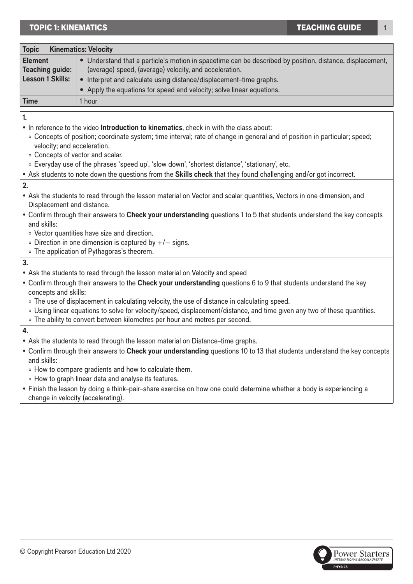## **TOPIC 1: KINEMATICS**

| <b>Kinematics: Velocity</b><br><b>Topic</b>                                                                               |                                                                                                          |  |
|---------------------------------------------------------------------------------------------------------------------------|----------------------------------------------------------------------------------------------------------|--|
| <b>Element</b>                                                                                                            | • Understand that a particle's motion in spacetime can be described by position, distance, displacement, |  |
| <b>Teaching guide:</b>                                                                                                    | (average) speed, (average) velocity, and acceleration.                                                   |  |
| <b>Lesson 1 Skills:</b>                                                                                                   | Interpret and calculate using distance/displacement-time graphs.                                         |  |
|                                                                                                                           | • Apply the equations for speed and velocity; solve linear equations.                                    |  |
| <b>Time</b>                                                                                                               | 1 hour                                                                                                   |  |
| 1.                                                                                                                        |                                                                                                          |  |
| . In reference to the video Introduction to kinematics, check in with the class about:                                    |                                                                                                          |  |
| · Concepts of position; coordinate system; time interval; rate of change in general and of position in particular; speed; |                                                                                                          |  |
| velocity; and acceleration.<br>• Concepts of vector and scalar.                                                           |                                                                                                          |  |
| . Everyday use of the phrases 'speed up', 'slow down', 'shortest distance', 'stationary', etc.                            |                                                                                                          |  |
| • Ask students to note down the questions from the Skills check that they found challenging and/or got incorrect.         |                                                                                                          |  |
| 2.                                                                                                                        |                                                                                                          |  |
| • Ask the students to read through the lesson material on Vector and scalar quantities, Vectors in one dimension, and     |                                                                                                          |  |
| Displacement and distance.                                                                                                |                                                                                                          |  |
| • Confirm through their answers to Check your understanding questions 1 to 5 that students understand the key concepts    |                                                                                                          |  |
| and skills:                                                                                                               |                                                                                                          |  |
| • Vector quantities have size and direction.                                                                              |                                                                                                          |  |
| • Direction in one dimension is captured by $+/-$ signs.                                                                  |                                                                                                          |  |
| • The application of Pythagoras's theorem.                                                                                |                                                                                                          |  |
| 3.                                                                                                                        |                                                                                                          |  |
| • Ask the students to read through the lesson material on Velocity and speed                                              |                                                                                                          |  |
| . Confirm through their answers to the Check your understanding questions 6 to 9 that students understand the key         |                                                                                                          |  |
| concepts and skills:                                                                                                      |                                                                                                          |  |
| • The use of displacement in calculating velocity, the use of distance in calculating speed.                              |                                                                                                          |  |
| . Using linear equations to solve for velocity/speed, displacement/distance, and time given any two of these quantities.  |                                                                                                          |  |
|                                                                                                                           | . The ability to convert between kilometres per hour and metres per second.                              |  |
| 4.                                                                                                                        |                                                                                                          |  |
| • Ask the students to read through the lesson material on Distance-time graphs.                                           |                                                                                                          |  |

- Confirm through their answers to **Check your understanding** questions 10 to 13 that students understand the key concepts and skills:
	- ° How to compare gradients and how to calculate them.
	- ° How to graph linear data and analyse its features.
- Finish the lesson by doing a think–pair–share exercise on how one could determine whether a body is experiencing a change in velocity (accelerating).

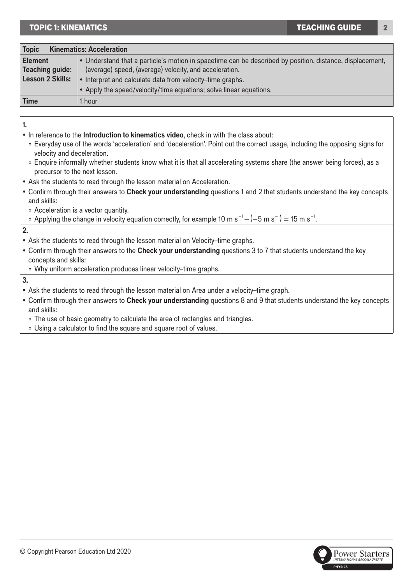## TOPIC 1: KINEMATICS 2

| <b>Kinematics: Acceleration</b><br><b>Topic</b> |                                                                                                          |  |
|-------------------------------------------------|----------------------------------------------------------------------------------------------------------|--|
| <b>Element</b>                                  | • Understand that a particle's motion in spacetime can be described by position, distance, displacement, |  |
| <b>Teaching guide:</b>                          | (average) speed, (average) velocity, and acceleration.                                                   |  |
| <b>Lesson 2 Skills:</b>                         | • Interpret and calculate data from velocity-time graphs.                                                |  |
|                                                 | • Apply the speed/velocity/time equations; solve linear equations.                                       |  |
| <b>Time</b>                                     | 1 hour                                                                                                   |  |

**1.**

- In reference to the **Introduction to kinematics video**, check in with the class about:
	- ° Everyday use of the words 'acceleration' and 'deceleration'. Point out the correct usage, including the opposing signs for velocity and deceleration.
	- ° Enquire informally whether students know what it is that all accelerating systems share (the answer being forces), as a precursor to the next lesson.
- Ask the students to read through the lesson material on Acceleration.
- Confirm through their answers to **Check your understanding** questions 1 and 2 that students understand the key concepts and skills:
	- ° Acceleration is a vector quantity.

```
∘ Applying the change in velocity equation correctly, for example 10 m s<sup>-1</sup> - (-5 m s<sup>-1</sup>) = 15 m s<sup>-1</sup>.
```
**2.**

- Ask the students to read through the lesson material on Velocity–time graphs.
- Confirm through their answers to the **Check your understanding** questions 3 to 7 that students understand the key concepts and skills:
- ° Why uniform acceleration produces linear velocity–time graphs.

**3.**

- Ask the students to read through the lesson material on Area under a velocity–time graph.
- Confirm through their answers to **Check your understanding** questions 8 and 9 that students understand the key concepts and skills:
	- ° The use of basic geometry to calculate the area of rectangles and triangles.
- ° Using a calculator to find the square and square root of values.